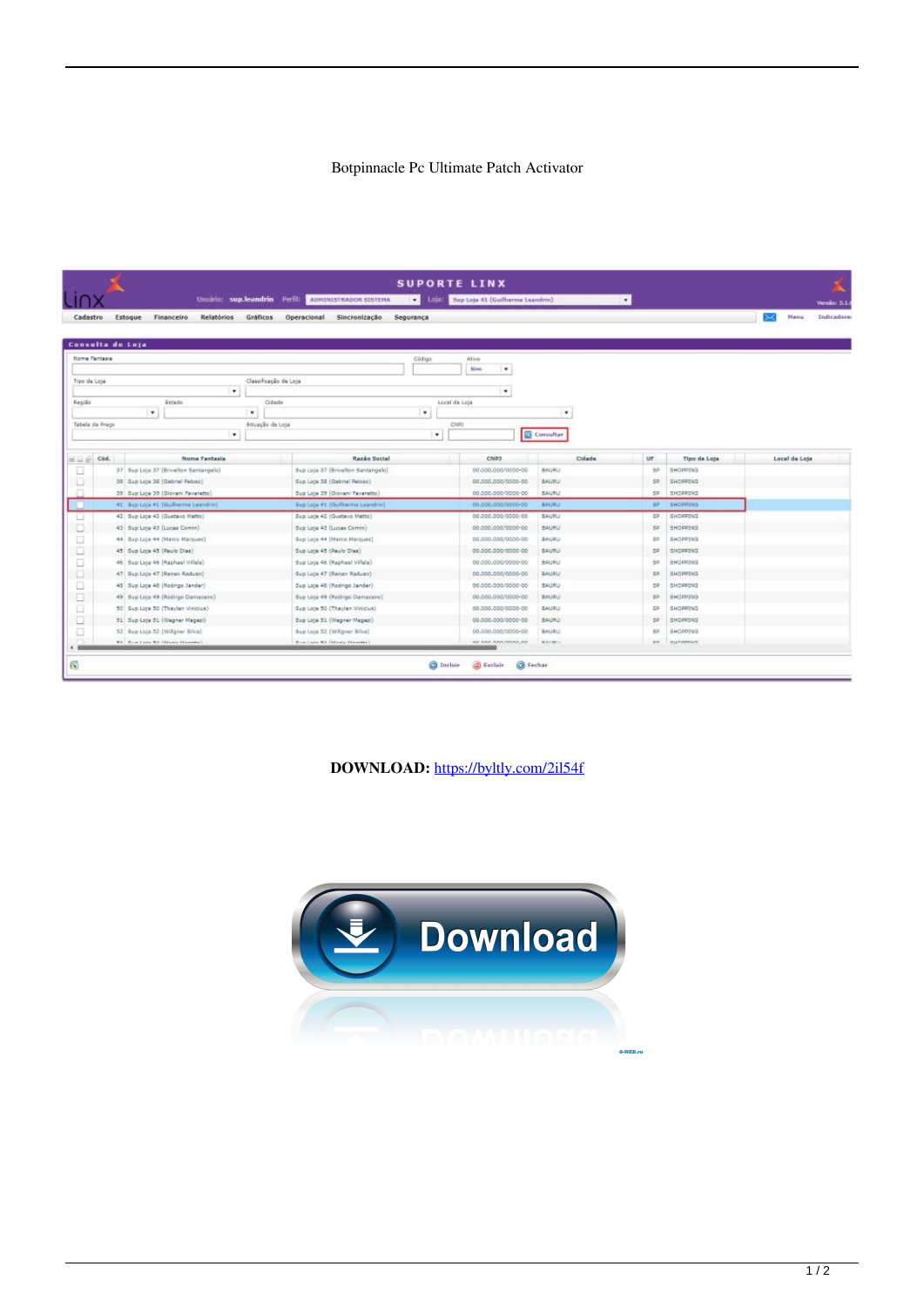## Botpinnacle Pc Ultimate Patch Activator

|                                            |                                       | Usuário: sup.leandrin Perfil: | ADMINISTRADOR SISTEMA                     |                    | - LOSS Sup Loja 41 (Guilherme Leandrin) |           | $\bullet$           |               | Versilo: 3.1 |
|--------------------------------------------|---------------------------------------|-------------------------------|-------------------------------------------|--------------------|-----------------------------------------|-----------|---------------------|---------------|--------------|
| Cadastro                                   | Relatórios<br>Estoque<br>Financeiro   | Gráficos                      | Operacional<br>Sincronização<br>Segurança |                    |                                         |           |                     | Menu          | Indicadores  |
|                                            | Consulta de Loja                      |                               |                                           |                    |                                         |           |                     |               |              |
| Nome Fantasia                              |                                       |                               | Código                                    | Ativo              |                                         |           |                     |               |              |
|                                            |                                       |                               |                                           | Sim<br>٠           |                                         |           |                     |               |              |
| Tipo de Loja<br>Classificação de Loja<br>٠ |                                       |                               |                                           |                    |                                         |           |                     |               |              |
|                                            |                                       |                               |                                           | ٠                  |                                         |           |                     |               |              |
| Região                                     | Estado<br>٠                           | Cidade<br>٠                   | ٠                                         | Local da Loja      | ٠                                       |           |                     |               |              |
|                                            |                                       |                               |                                           | CNP3               |                                         |           |                     |               |              |
| Tabela de Prepo                            | $\ddot{}$                             | Situação de Loja              | ٠                                         |                    | Consultar                               |           |                     |               |              |
|                                            |                                       |                               |                                           |                    |                                         |           |                     |               |              |
| <b>Millian</b>                             | Cód.<br>Nome Fantasia                 |                               | Razão Social                              | CNPJ               | Cidade                                  | <b>UF</b> | <b>Tipo de Loja</b> | Local da Loja |              |
| □                                          | 37 Sup Loja 37 (Erivelton Santangelo) |                               | Sup Loja 37 (Erivelton Santangelo)        | 00-00000000000-00  | BAURU                                   | 89        | SHOPPING            |               |              |
| ш                                          | 38 Sup Loja 38 (Gabriel Peloso)       |                               | Sup Loja 38 (Gabriel Pelses)              | 00.000.000/0000-00 | BAURU                                   | SP        | SHOPPING            |               |              |
|                                            | 39 Sup Loja 39 (Glovani Favaretto)    |                               | Sup Loja 39 (Giovani Favaretto)           | 00.000.000/0000-00 | <b>BAURU</b>                            | 52        | SHOPPING            |               |              |
|                                            | 41 Sup Loja 41 (Guilherme Leandrin)   |                               | Sup Loja 41 (Guilherme Leandrin).         | 00.000.000/0000-00 | RAURU                                   | 80        | SHOPPING            |               |              |
| ш                                          | 42 Sup Loja 42 (Gustavo Matto)        |                               | Sup Loja 42 (Quetavo Matto).              | 00.000.000/0000-00 | <b>DAURU</b>                            | SP.       | SHOPPING            |               |              |
|                                            | 43 Sup Lota 43 (Lucas Comin)          |                               | Sup Loja 43 (Lucas Comin)                 | 00-0000000000-00   | BAURU                                   | 52        | <b>BHDPPING</b>     |               |              |
| u                                          | 44 Sup Loja 44 (Harco Marques)        |                               | Sup Loja 44 (Marco Harques)               | 00.000.000/0000-00 | BALIRU                                  | 89        | SHOPPING            |               |              |
|                                            | 45 Sup Loja 45 (Paulo Dias)           |                               | Sup Loja 45 (Paulo Dias)                  | 00.000.000/0000-00 | <b>BAURU</b>                            | 52        | SHOPPING            |               |              |
|                                            | 45 Sup Loja 46 (Raphael Villela)      |                               | Sup Loja 46 (Raphael Villela).            | 00-0000000000-00   | BAURU                                   | 89        | BHOPPING            |               |              |
|                                            |                                       |                               | Sup Loja 47 (Renan Raduan)                | 00.000.000/0000-00 | BALIRU                                  | sp        | SHOPPING            |               |              |
|                                            | 47 Sup Loja 47 (Renan Raduan)         |                               |                                           |                    |                                         |           |                     |               |              |
|                                            | 45 Sup Loja 45 (Rodrigo Jander)       |                               | Sup Loja 48 (Redrigo Jander)              | 00-0000000000000   | <b>BAURU</b>                            | 52        | SHOPPING            |               |              |
|                                            | 49 Sup Loja 49 (Redrigo Damacero)     |                               | Sup Loja 49 (Redrigo Damaceno)            | 00.000.000/0000-00 | BAURU                                   | 89        | SHOPPING            |               |              |
|                                            | 50 Sup Loja 50 (Thaylan Vinicius)     |                               | Sup Loja 50 (Thaylan Vinicius)            | 00.000.000/0000-00 | <b>BAURU</b>                            | 59        | SHOPPING            |               |              |
|                                            | 51 Sup Loja 51 (Wagner Magezi)        |                               | Sup Loja 31 (Wegner Magezi)               | 00.000.000.0000-00 | BAURU                                   | 52        | SHOPPING            |               |              |
| ш<br>u<br>c<br>ш<br>w                      | 52 Sup Loja 52 (Willigner Silva)      |                               | Sup Loja 52 (Willigner Silva)             | 00-0000000000-00   | BAURU                                   | 89        | SHOPPING            |               |              |

DOWNLOAD: https://byltly.com/2il54f